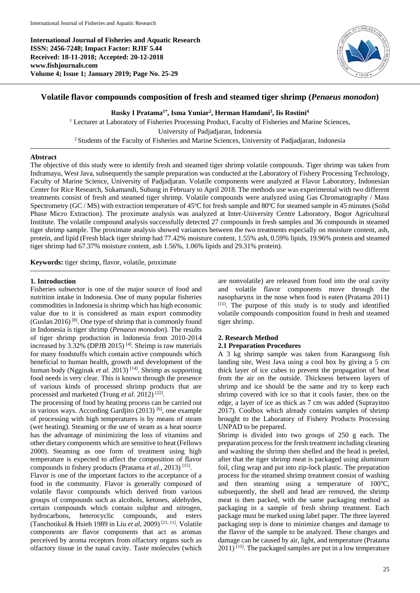**International Journal of Fisheries and Aquatic Research ISSN: 2456-7248; Impact Factor: RJIF 5.44 Received: 18-11-2018; Accepted: 20-12-2018 www.fishjournals.com Volume 4; Issue 1; January 2019; Page No. 25-29**



# **Volatile flavor compounds composition of fresh and steamed tiger shrimp (***Penaeus monodon***)**

**Rusky I Pratama1\* , Isma Yuniar<sup>2</sup> , Herman Hamdani<sup>3</sup> , Iis Rostini<sup>4</sup>**

<sup>1</sup> Lecturer at Laboratory of Fisheries Processing Product, Faculty of Fisheries and Marine Sciences, University of Padjadjaran, Indonesia <sup>2</sup> Students of the Faculty of Fisheries and Marine Sciences, University of Padjadjaran, Indonesia

# **Abstract**

The objective of this study were to identify fresh and steamed tiger shrimp volatile compounds. Tiger shrimp was taken from Indramayu, West Java, subsequently the sample preparation was conducted at the Laboratory of Fishery Processing Technology, Faculty of Marine Science, University of Padjadjaran. Volatile components were analyzed at Flavor Laboratory, Indonesian Center for Rice Research, Sukamandi, Subang in February to April 2018. The methods use was experimental with two different treatments consist of fresh and steamed tiger shrimp. Volatile compounds were analyzed using Gas Chromatography / Mass Spectrometry (GC / MS) with extraction temperature of 45ºC for fresh sample and 80ºC for steamed sample in 45 minutes (Solid Phase Micro Extraction). The proximate analysis was analyzed at Inter-University Centre Laboratory, Bogor Agricultural Institute. The volatile compound analysis successfully detected 27 compounds in fresh samples and 36 compounds in steamed tiger shrimp sample. The proximate analysis showed variances between the two treatments especially on moisture content, ash, protein, and lipid (Fresh black tiger shrimp had 77.42% moisture content, 1.55% ash, 0.59% lipids, 19.96% protein and steamed tiger shrimp had 67.37% moisture content, ash 1.56%, 1.06% lipids and 29.31% protein).

**Keywords:** tiger shrimp, flavor, volatile, proximate

#### **1. Introduction**

Fisheries subsector is one of the major source of food and nutrition intake in Indonesia. One of many popular fisheries commodities in Indonesia is shrimp which has high economic value due to it is considered as main export commodity (Guslan 2016) [8]. One type of shrimp that is commonly found in Indonesia is tiger shrimp (*Penaeus monodon*). The results of tiger shrimp production in Indonesia from 2010-2014 increased by 3.32% (DPJB 2015)<sup>[4]</sup>. Shrimp is raw materials for many foodstuffs which contain active compounds which beneficial to human health, growth and development of the human body (Ngginak *et al.* 2013)<sup>[14]</sup>. Shrimp as supporting food needs is very clear. This is known through the presence of various kinds of processed shrimp products that are processed and marketed (Trung *et al.* 2012)<sup>[22]</sup>.

The processing of food by heating process can be carried out in various ways. According Gardjito (2013) [6], one example of processing with high temperatures is by means of steam (wet heating). Steaming or the use of steam as a heat source has the advantage of minimizing the loss of vitamins and other dietary components which are sensitive to heat (Fellows 2000). Steaming as one form of treatment using high temperature is expected to affect the composition of flavor compounds in fishery products (Pratama et al., 2013)<sup>[15]</sup>.

Flavor is one of the important factors to the acceptance of a food in the community. Flavor is generally composed of volatile flavor compounds which derived from various groups of compounds such as alcohols, ketones, aldehydes, certain compounds which contain sulphur and nitrogen, hydrocarbons, heterocyclic compounds, and esters (Tanchotikul & Hsieh 1989 in Liu *et al*, 2009) [21, 11] . Volatile components are flavor components that act as aromas perceived by aroma receptors from olfactory organs such as olfactory tissue in the nasal cavity. Taste molecules (which

are nonvolatile) are released from food into the oral cavity and volatile flavor components move through the nasopharynx in the nose when food is eaten (Pratama 2011) [15]. The purpose of this study is to study and identified volatile compounds composition found in fresh and steamed tiger shrimp.

# **2. Research Method**

# **2.1 Preparation Procedures**

A 3 kg shrimp sample was taken from Karangsong fish landing site, West Java using a cool box by giving a 5 cm thick layer of ice cubes to prevent the propagation of heat from the air on the outside. Thickness between layers of shrimp and ice should be the same and try to keep each shrimp covered with ice so that it cools faster, then on the edge, a layer of ice as thick as 7 cm was added (Suprayitno 2017). Coolbox which already contains samples of shrimp brought to the Laboratory of Fishery Products Processing UNPAD to be prepared.

Shrimp is divided into two groups of 250 g each. The preparation process for the fresh treatment including cleaning and washing the shrimp then shelled and the head is peeled, after that the tiger shrimp meat is packaged using aluminum foil, cling wrap and put into zip-lock plastic. The preparation process for the steamed shrimp treatment consist of washing and then steaming using a temperature of  $100^{\circ}$ C, subsequently, the shell and head are removed, the shrimp meat is then packed, with the same packaging method as packaging in a sample of fresh shrimp treatment. Each package must be marked using label paper. The three layered packaging step is done to minimize changes and damage to the flavor of the sample to be analyzed. These changes and damage can be caused by air, light, and temperature (Pratama  $2011$ )<sup>[15]</sup>. The packaged samples are put in a low temperature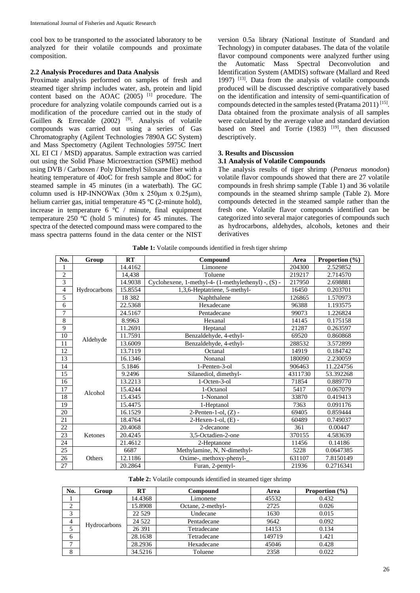cool box to be transported to the associated laboratory to be analyzed for their volatile compounds and proximate composition.

#### **2.2 Analysis Procedures and Data Analysis**

Proximate analysis performed on samples of fresh and steamed tiger shrimp includes water, ash, protein and lipid content based on the AOAC (2005) <sup>[1]</sup> procedure. The procedure for analyzing volatile compounds carried out is a modification of the procedure carried out in the study of Guillen & Errecalde  $(2002)$ <sup>[9]</sup>. Analysis of volatile compounds was carried out using a series of Gas Chromatography (Agilent Technologies 7890A GC System) and Mass Spectometry (Agilent Technologies 5975C Inert XL EI CI / MSD) apparatus. Sample extraction was carried out using the Solid Phase Microextraction (SPME) method using DVB / Carboxen / Poly Dimethyl Siloxane fiber with a heating temperature of 40oC for fresh sample and 80oC for steamed sample in 45 minutes (in a waterbath). The GC column used is HP-INNOWax  $(30m \times 250 \mu m \times 0.25 \mu m)$ , helium carrier gas, initial temperature 45 ℃ (2-minute hold), increase in temperature 6 ℃ / minute, final equipment temperature 250 ℃ (hold 5 minutes) for 45 minutes. The spectra of the detected compound mass were compared to the mass spectra patterns found in the data center or the NIST

version 0.5a library (National Institute of Standard and Technology) in computer databases. The data of the volatile flavor compound components were analyzed further using the Automatic Mass Spectral Deconvolution and Identification System (AMDIS) software (Mallard and Reed 1997) [13] . Data from the analysis of volatile compounds produced will be discussed descriptive comparatively based on the identification and intensity of semi-quantification of compounds detected in the samples tested (Pratama 2011)<sup>[15]</sup>. Data obtained from the proximate analysis of all samples were calculated by the average value and standard deviation based on Steel and Torrie  $(1983)$  <sup>[19]</sup>, then discussed descriptively.

# **3. Results and Discussion**

## **3.1 Analysis of Volatile Compounds**

The analysis results of tiger shrimp (*Penaeus monodon*) volatile flavor compounds showed that there are 27 volatile compounds in fresh shrimp sample (Table 1) and 36 volatile compounds in the steamed shrimp sample (Table 2). More compounds detected in the steamed sample rather than the fresh one. Volatile flavor compounds identified can be categorized into several major categories of compounds such as hydrocarbons, aldehydes, alcohols, ketones and their derivatives

| No.            | Group        | RT       | Compound                                            | Area    | Proportion (%) |
|----------------|--------------|----------|-----------------------------------------------------|---------|----------------|
| 1              |              | 14.4162  | Limonene                                            | 204300  | 2.529852       |
| $\overline{2}$ | Hydrocarbons | 14,438   | Toluene                                             | 219217  | 2.714570       |
| 3              |              | 14.9038  | Cyclohexene, 1-methyl-4- (1-methylethenyl) -, (S) - | 217950  | 2.698881       |
| $\overline{4}$ |              | 15.8554  | 1,3,6-Heptatriene, 5-methyl-                        | 16450   | 0.203701       |
| 5              |              | 18 3 8 2 | Naphthalene                                         | 126865  | 1.570973       |
| 6              |              | 22.5368  | Hexadecane                                          | 96388   | 1.193575       |
| 7              |              | 24.5167  | Pentadecane                                         | 99073   | 1.226824       |
| 8              |              | 8.9963   | Hexanal                                             | 14145   | 0.175158       |
| 9              |              | 11.2691  | Heptanal                                            | 21287   | 0.263597       |
| 10             |              | 11.7591  | Benzaldehyde, 4-ethyl-                              | 69520   | 0.860868       |
| 11             | Aldehyde     | 13.6009  | Benzaldehyde, 4-ethyl-                              | 288532  | 3.572899       |
| 12             |              | 13.7119  | Octanal                                             | 14919   | 0.184742       |
| 13             |              | 16.1346  | Nonanal                                             | 180090  | 2.230059       |
| 14             |              | 5.1846   | 1-Penten-3-ol                                       | 906463  | 11.224756      |
| 15             |              | 9.2496   | Silanediol, dimethyl-                               | 4311730 | 53.392268      |
| 16             |              | 13.2213  | 1-Octen-3-ol                                        | 71854   | 0.889770       |
| 17             | Alcohol      | 15.4244  | 1-Octanol                                           | 5417    | 0.067079       |
| 18             |              | 15.4345  | 1-Nonanol                                           | 33870   | 0.419413       |
| 19             |              | 15.4475  | 1-Heptanol                                          | 7363    | 0.091176       |
| 20             |              | 16.1529  | $2$ -Penten-1-ol, $(Z)$ -                           | 69405   | 0.859444       |
| 21             |              | 18.4764  | $2$ -Hexen-1-ol, $(E)$ -                            | 60489   | 0.749037       |
| 22             |              | 20.4068  | 2-decanone                                          | 361     | 0.00447        |
| 23             | Ketones      | 20.4245  | 3,5-Octadien-2-one                                  | 370155  | 4.583639       |
| 24             |              | 21.4612  | 2-Heptanone                                         | 11456   | 0.14186        |
| 25             |              | 6687     | Methylamine, N, N-dimethyl-                         | 5228    | 0.0647385      |
| 26             | Others       | 12.1186  | Oxime-, methoxy-phenyl-                             | 631107  | 7.8150149      |
| 27             |              | 20.2864  | Furan, 2-pentyl-                                    | 21936   | 0.2716341      |

|  | Table 1: Volatile compounds identified in fresh tiger shrimp |  |  |  |
|--|--------------------------------------------------------------|--|--|--|
|  |                                                              |  |  |  |

**Table 2:** Volatile compounds identified in steamed tiger shrimp

| No.          | Group        | RT      | Compound          | Area   | Proportion $(\% )$ |
|--------------|--------------|---------|-------------------|--------|--------------------|
|              |              | 14.4368 | Limonene          | 45532  | 0.432              |
| 2            |              | 15.8908 | Octane, 2-methyl- | 2725   | 0.026              |
| 3            |              | 22 5 29 | Undecane          | 1630   | 0.015              |
| 4            |              | 24 5 22 | Pentadecane       | 9642   | 0.092              |
|              | Hydrocarbons | 26 391  | Tetradecane       | 14153  | 0.134              |
| 6            |              | 28.1638 | Tetradecane       | 149719 | 1.421              |
| $\mathbf{r}$ |              | 28.2936 | Hexadecane        | 45046  | 0.428              |
| 8            |              | 34.5216 | Toluene           | 2358   | 0.022              |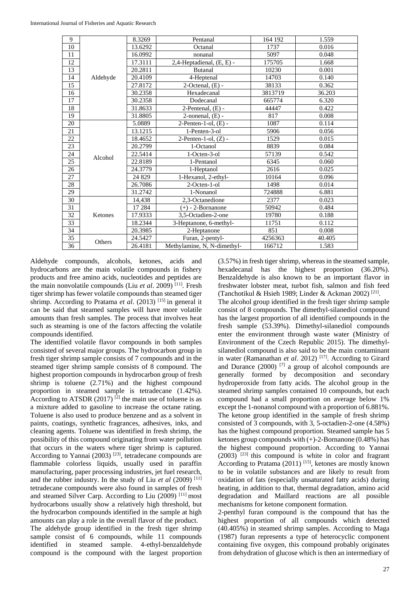| 9  |          | 8.3269                    | Pentanal                    | 164 192 | 1.559  |
|----|----------|---------------------------|-----------------------------|---------|--------|
| 10 |          | 13.6292                   | Octanal                     | 1737    | 0.016  |
| 11 |          | 16.0992                   | nonanal                     | 5097    | 0.048  |
| 12 | 17.3111  | 2,4-Heptadienal, (E, E) - | 175705                      | 1.668   |        |
| 13 |          | 20.2811                   | Butanal                     | 10230   | 0.001  |
| 14 | Aldehyde | 20.4109                   | 4-Heptenal                  | 14703   | 0.140  |
| 15 |          | 27.8172                   | $2$ -Octenal, $(E)$ -       | 38133   | 0.362  |
| 16 |          | 30.2358                   | Hexadecanal                 | 3813719 | 36.203 |
| 17 |          | 30.2358                   | Dodecanal                   | 665774  | 6.320  |
| 18 |          | 31.8633                   | $2$ -Pentenal, $(E)$ -      | 44447   | 0.422  |
| 19 |          | 31.8805                   | $2$ -nonenal, $(E)$ -       | 817     | 0.008  |
| 20 |          | 5.0889                    | $2$ -Penten-1-ol, $(E)$ -   | 1087    | 0.114  |
| 21 |          | 13.1215                   | 1-Penten-3-ol               | 5906    | 0.056  |
| 22 |          | 18.4652                   | $2$ -Penten-1-ol, $(Z)$ -   | 1529    | 0.015  |
| 23 |          | 20.2799                   | 1-Octanol                   | 8839    | 0.084  |
| 24 | Alcohol  | 22.5414                   | 1-Octen-3-ol                | 57139   | 0.542  |
| 25 |          | 22.8189                   | 1-Pentanol                  | 6345    | 0.060  |
| 26 |          | 24.3779                   | 1-Heptanol                  | 2616    | 0.025  |
| 27 |          | 24 8 29                   | 1-Hexanol, 2-ethyl-         | 10164   | 0.096  |
| 28 |          | 26.7086                   | 2-Octen-1-ol                | 1498    | 0.014  |
| 29 |          | 31.2742                   | 1-Nonanol                   | 724888  | 6.881  |
| 30 |          | 14,438                    | 2.3-Octanedione             | 2377    | 0.023  |
| 31 |          | 17 284                    | $(+)$ - 2-Bornanone         | 50942   | 0.484  |
| 32 | Ketones  | 17.9333                   | 3.5-Octadien-2-one          | 19780   | 0.188  |
| 33 |          | 18.2344                   | 3-Heptanone, 6-methyl-      | 11751   | 0.112  |
| 34 |          | 20.3985                   | 2-Heptanone                 | 851     | 0.008  |
| 35 | Others   | 24.5427                   | Furan, 2-pentyl-            | 4256363 | 40.405 |
| 36 |          | 26.4181                   | Methylamine, N, N-dimethyl- | 166712  | 1.583  |
|    |          |                           |                             |         |        |

Aldehyde compounds, alcohols, ketones, acids and hydrocarbons are the main volatile compounds in fishery products and free amino acids, nucleotides and peptides are the main nonvolatile compounds (Liu et al. 2009)<sup>[11]</sup>. Fresh tiger shrimp has fewer volatile compounds than steamed tiger shrimp. According to Pratama et al. (2013) [15] in general it can be said that steamed samples will have more volatile amounts than fresh samples. The process that involves heat such as steaming is one of the factors affecting the volatile compounds identified.

The identified volatile flavor compounds in both samples consisted of several major groups. The hydrocarbon group in fresh tiger shrimp sample consists of 7 compounds and in the steamed tiger shrimp sample consists of 8 compound. The highest proportion compounds in hydrocarbon group of fresh shrimp is toluene  $(2.71\%)$  and the highest compound proportion in steamed sample is tetradecane  $(1.42\%)$ . According to ATSDR (2017)  $^{[2]}$  the main use of toluene is as a mixture added to gasoline to increase the octane rating. Toluene is also used to produce benzene and as a solvent in paints, coatings, synthetic fragrances, adhesives, inks, and cleaning agents. Toluene was identified in fresh shrimp, the possibility of this compound originating from water pollution that occurs in the waters where tiger shrimp is captured. According to Yannai (2003)  $^{[23]}$ , tetradecane compounds are flammable colorless liquids, usually used in paraffin manufacturing, paper processing industries, jet fuel research, and the rubber industry. In the study of Liu *et al* (2009)<sup>[11]</sup> tetradecane compounds were also found in samples of fresh and steamed Silver Carp. According to Liu (2009) [11] most hydrocarbons usually show a relatively high threshold, but the hydrocarbon compounds identified in the sample at high amounts can play a role in the overall flavor of the product. The aldehyde group identified in the fresh tiger shrimp

sample consist of 6 compounds, while 11 compounds identified in steamed sample. 4-ethyl-benzaldehyde compound is the compound with the largest proportion  $(3.57\%)$  in fresh tiger shrimp, whereas in the steamed sample, hexadecanal has the highest proportion (36.20%). Benzaldehyde is also known to be an important flavor in freshwater lobster meat, turbot fish, salmon and fish feed (Tanchotikul & Hsieh 1989; Linder & Ackman 2002)<sup>[21]</sup>.

The alcohol group identified in the fresh tiger shrimp sample consist of 8 compounds. The dimethyl-silanediol compound has the largest proportion of all identified compounds in the fresh sample (53.39%). Dimethyl-silanediol compounds enter the environment through waste water (Ministry of Environment of the Czech Republic 2015). The dimethylsilanediol compound is also said to be the main contaminant in water (Ramanathan et al. 2012)<sup>[17]</sup>. According to Girard and Durance (2000)  $^{[7]}$  a group of alcohol compounds are generally formed by decomposition and secondary hydroperoxide from fatty acids. The alcohol group in the steamed shrimp samples contained 10 compounds, but each compound had a small proportion on average below 1% except the 1-nonanol compound with a proportion of 6.881%. The ketone group identified in the sample of fresh shrimp consisted of 3 compounds, with 3, 5-octadien-2-one (4.58%) has the highest compound proportion. Steamed sample has 5 ketones group compounds with  $(+)$ -2-Bornanone (0.48%) has the highest compound proportion. According to Yannai  $(2003)$ <sup>[23]</sup> this compound is white in color and fragrant According to Pratama (2011) [15], ketones are mostly known to be in volatile substances and are likely to result from oxidation of fats (especially unsaturated fatty acids) during heating, in addition to that, thermal degradation, amino acid degradation and Maillard reactions are all possible mechanisms for ketone component formation.

2-penthyl furan compound is the compound that has the highest proportion of all compounds which detected  $(40.405\%)$  in steamed shrimp samples. According to Maga (1987) furan represents a type of heterocyclic component containing five oxygen, this compound probably originates from dehydration of glucose which is then an intermediary of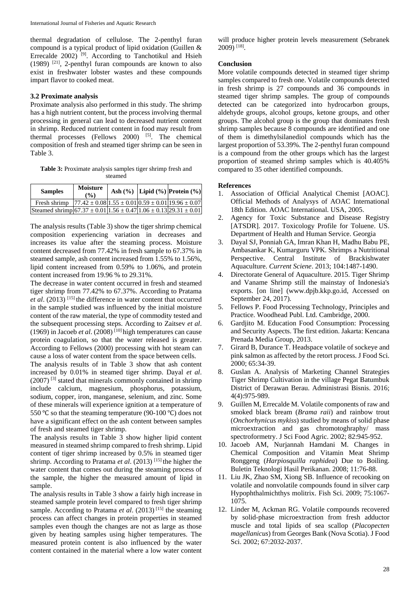thermal degradation of cellulose. The 2-penthyl furan compound is a typical product of lipid oxidation (Guillen & Errecalde 2002)<sup>[9]</sup>. According to Tanchotikul and Hsieh (1989) [21], 2-penthyl furan compounds are known to also exist in freshwater lobster wastes and these compounds impart flavor to cooked meat.

#### **3.2 Proximate analysis**

Proximate analysis also performed in this study. The shrimp has a high nutrient content, but the process involving thermal processing in general can lead to decreased nutrient content in shrimp. Reduced nutrient content in food may result from thermal processes (Fellows 2000)  $[5]$ . The chemical composition of fresh and steamed tiger shrimp can be seen in Table 3.

**Table 3:** Proximate analysis samples tiger shrimp fresh and steamed

| <b>Samples</b>                                                                                                                     | <b>Moisture</b><br>$($ %) |  | Ash $(\%)$ Lipid $(\%)$ Protein $(\%)$ |
|------------------------------------------------------------------------------------------------------------------------------------|---------------------------|--|----------------------------------------|
| Fresh shrimp $\begin{bmatrix} 77.42 \pm 0.08 \end{bmatrix}$ 1.55 ± 0.01 $\begin{bmatrix} 0.59 \pm 0.01 \end{bmatrix}$ 19.96 ± 0.07 |                           |  |                                        |
| Steamed shrimp $67.37 \pm 0.01 \times 1.56 \pm 0.47 \times 1.06 \pm 0.13 \times 29.31 \pm 0.01$                                    |                           |  |                                        |

The analysis results (Table 3) show the tiger shrimp chemical composition experiencing variation in decreases and increases its value after the steaming process. Moisture content decreased from 77.42% in fresh sample to 67.37% in steamed sample, ash content increased from 1.55% to 1.56%, lipid content increased from 0.59% to 1.06%, and protein content increased from 19.96 % to 29.31%.

The decrease in water content occurred in fresh and steamed tiger shrimp from 77.42% to 67.37%. According to Pratama *et al*. (2013) [15] the difference in water content that occurred in the sample studied was influenced by the initial moisture content of the raw material, the type of commodity tested and the subsequent processing steps. According to Zaitsev *et al*. (1969) in Jacoeb *et al.* (2008)<sup>[10]</sup> high temperatures can cause protein coagulation, so that the water released is greater. According to Fellows (2000) processing with hot steam can cause a loss of water content from the space between cells.

The analysis results of in Table 3 show that ash content increased by 0.01% in steamed tiger shrimp. Dayal *et al*.  $(2007)$ <sup>[3]</sup> stated that minerals commonly contained in shrimp include calcium, magnesium, phosphorus, potassium, sodium, copper, iron, manganese, selenium, and zinc. Some of these minerals will experience ignition at a temperature of 550 °C so that the steaming temperature (90-100 °C) does not have a significant effect on the ash content between samples of fresh and steamed tiger shrimp.

The analysis results in Table 3 show higher lipid content measured in steamed shrimp compared to fresh shrimp. Lipid content of tiger shrimp increased by 0.5% in steamed tiger shrimp. According to Pratama *et al.* (2013)<sup>[15]</sup> the higher the water content that comes out during the steaming process of the sample, the higher the measured amount of lipid in sample.

The analysis results in Table 3 show a fairly high increase in steamed sample protein level compared to fresh tiger shrimp sample. According to Pratama *et al.* (2013)<sup>[15]</sup> the steaming process can affect changes in protein properties in steamed samples even though the changes are not as large as those given by heating samples using higher temperatures. The measured protein content is also influenced by the water content contained in the material where a low water content

will produce higher protein levels measurement (Sebranek 2009) [18] .

#### **Conclusion**

More volatile compounds detected in steamed tiger shrimp samples compared to fresh one. Volatile compounds detected in fresh shrimp is 27 compounds and 36 compounds in steamed tiger shrimp samples. The group of compounds detected can be categorized into hydrocarbon groups, aldehyde groups, alcohol groups, ketone groups, and other groups. The alcohol group is the group that dominates fresh shrimp samples because 8 compounds are identified and one of them is dimethylsilanediol compounds which has the largest proportion of 53.39%. The 2-penthyl furan compound is a compound from the other groups which has the largest proportion of steamed shrimp samples which is 40.405% compared to 35 other identified compounds.

#### **References**

- 1. Association of Official Analytical Chemist [AOAC]. Official Methods of Analysys of AOAC International 18th Edition. AOAC International. USA, 2005.
- 2. Agency for Toxic Substance and Disease Registry [ATSDR]. 2017. Toxicology Profile for Toluene. US. Department of Health and Human Service. Georgia
- 3. Dayal SJ, Ponniah GA, Imran Khan H, Madhu Babu PE, Ambasankar K, Kumarguru VPK. Shrimps a Nutritional Perspective. Central Institute of Brackishwater Aquaculture. *Current Sciene*. 2013; 104:1487-1490.
- 4. Directorate General of Aquaculture. 2015. Tiger Shrimp and Vaname Shrimp still the mainstay of Indonesia's exports. [on line] (www.dpjb.kkp.go.id, Accessed on September 24, 2017).
- 5. Fellows P. Food Processing Technology, Principles and Practice. Woodhead Publ. Ltd. Cambridge, 2000.
- 6. Gardjito M. Education Food Consumption: Processing and Security Aspects. The first edition. Jakarta: Kencana Prenada Media Group, 2013.
- 7. Girard B, Durance T. Headspace volatile of sockeye and pink salmon as affected by the retort process. J Food Sci. 2000; 65:34-39.
- 8. Guslan A. Analysis of Marketing Channel Strategies Tiger Shrimp Cultivation in the village Pegat Batumbuk District of Derawan Berau. Administrasi Bisnis. 2016; 4(4):975-989.
- 9. Guillen M, Errecalde M. Volatile components of raw and smoked black bream (*Brama raii*) and rainbow trout (*Onchorhynicus mykiss*) studied by means of solid phase microextraction and gas chromotoghraphy/ mass spectroformetry. J Sci Food Agric. 2002; 82:945-952.
- 10. Jacoeb AM, Nurjannah Hamdani M. Changes in Chemical Composition and Vitamin Meat Shrimp Ronggeng (*Harpiosquilla raphidea*) Due to Boiling. Buletin Teknologi Hasil Perikanan. 2008; 11:76-88.
- 11. Liu JK, Zhao SM, Xiong SB. Influence of recooking on volatile and nonvolatile compounds found in silver carp Hypophthalmichthys molitrix. Fish Sci. 2009; 75:1067- 1075.
- 12. Linder M, Ackman RG. Volatile compounds recovered by solid-phase microextraction from fresh adductor muscle and total lipids of sea scallop (*Placopecten magellanicus*) from Georges Bank (Nova Scotia). J Food Sci. 2002; 67:2032-2037.